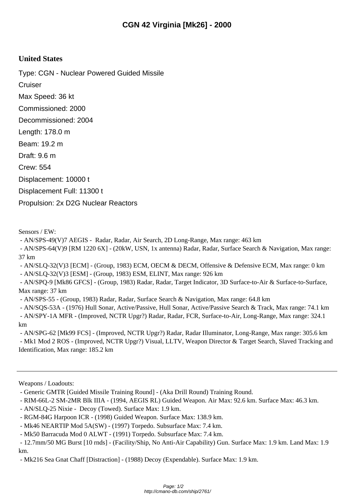## **United States**

Type: CGN - Nuclear Powered Guided Missile

**Cruiser** 

Max Speed: 36 kt

Commissioned: 2000

Decommissioned: 2004

Length: 178.0 m

Beam: 19.2 m

Draft: 9.6 m

Crew: 554

Displacement: 10000 t

Displacement Full: 11300 t

Propulsion: 2x D2G Nuclear Reactors

Sensors / EW:

- AN/SPS-49(V)7 AEGIS - Radar, Radar, Air Search, 2D Long-Range, Max range: 463 km

 - AN/SPS-64(V)9 [RM 1220 6X] - (20kW, USN, 1x antenna) Radar, Radar, Surface Search & Navigation, Max range: 37 km

- AN/SLQ-32(V)3 [ECM] - (Group, 1983) ECM, OECM & DECM, Offensive & Defensive ECM, Max range: 0 km

- AN/SLQ-32(V)3 [ESM] - (Group, 1983) ESM, ELINT, Max range: 926 km

 - AN/SPQ-9 [Mk86 GFCS] - (Group, 1983) Radar, Radar, Target Indicator, 3D Surface-to-Air & Surface-to-Surface, Max range: 37 km

- AN/SPS-55 - (Group, 1983) Radar, Radar, Surface Search & Navigation, Max range: 64.8 km

 - AN/SQS-53A - (1976) Hull Sonar, Active/Passive, Hull Sonar, Active/Passive Search & Track, Max range: 74.1 km - AN/SPY-1A MFR - (Improved, NCTR Upgr?) Radar, Radar, FCR, Surface-to-Air, Long-Range, Max range: 324.1 km

 - AN/SPG-62 [Mk99 FCS] - (Improved, NCTR Upgr?) Radar, Radar Illuminator, Long-Range, Max range: 305.6 km - Mk1 Mod 2 ROS - (Improved, NCTR Upgr?) Visual, LLTV, Weapon Director & Target Search, Slaved Tracking and Identification, Max range: 185.2 km

Weapons / Loadouts:

- RIM-66L-2 SM-2MR Blk IIIA - (1994, AEGIS RL) Guided Weapon. Air Max: 92.6 km. Surface Max: 46.3 km.

- AN/SLQ-25 Nixie Decoy (Towed). Surface Max: 1.9 km.
- RGM-84G Harpoon ICR (1998) Guided Weapon. Surface Max: 138.9 km.
- Mk46 NEARTIP Mod 5A(SW) (1997) Torpedo. Subsurface Max: 7.4 km.

- Mk50 Barracuda Mod 0 ALWT - (1991) Torpedo. Subsurface Max: 7.4 km.

 - 12.7mm/50 MG Burst [10 rnds] - (Facility/Ship, No Anti-Air Capability) Gun. Surface Max: 1.9 km. Land Max: 1.9 km.

- Mk216 Sea Gnat Chaff [Distraction] - (1988) Decoy (Expendable). Surface Max: 1.9 km.

 <sup>-</sup> Generic GMTR [Guided Missile Training Round] - (Aka Drill Round) Training Round.